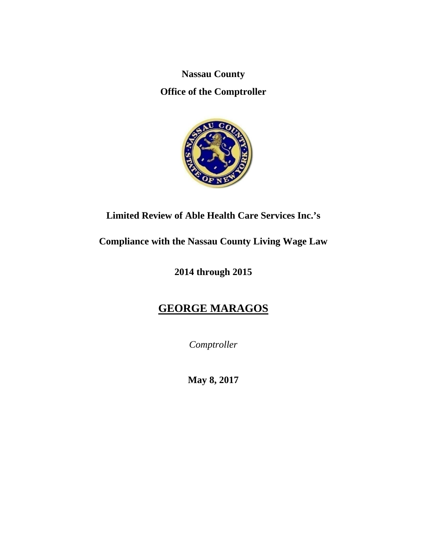**Nassau County** 

**Office of the Comptroller** 



**Limited Review of Able Health Care Services Inc.'s** 

**Compliance with the Nassau County Living Wage Law** 

**2014 through 2015** 

# **GEORGE MARAGOS**

*Comptroller* 

**May 8, 2017**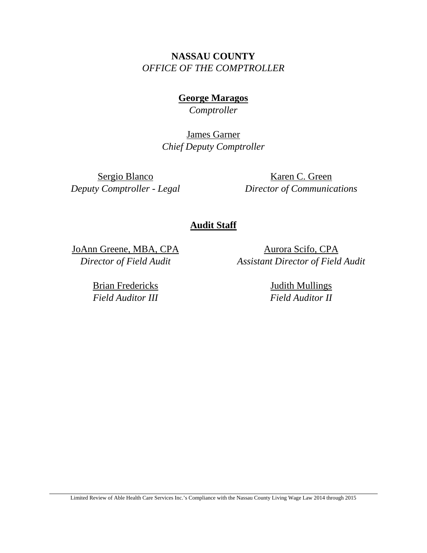**NASSAU COUNTY**  *OFFICE OF THE COMPTROLLER* 

> **George Maragos**  *Comptroller*

James Garner *Chief Deputy Comptroller*

Sergio Blanco *Deputy Comptroller - Legal* 

Karen C. Green *Director of Communications*

### **Audit Staff**

JoAnn Greene, MBA, CPA *Director of Field Audit* 

> Brian Fredericks *Field Auditor III*

Aurora Scifo, CPA *Assistant Director of Field Audit* 

> Judith Mullings *Field Auditor II*

Limited Review of Able Health Care Services Inc.'s Compliance with the Nassau County Living Wage Law 2014 through 2015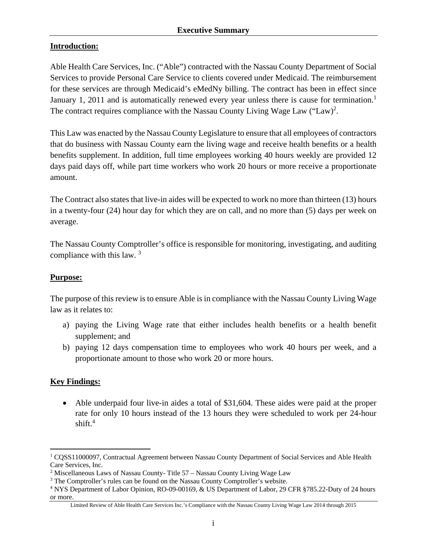#### **Introduction:**

Able Health Care Services, Inc. ("Able") contracted with the Nassau County Department of Social Services to provide Personal Care Service to clients covered under Medicaid. The reimbursement for these services are through Medicaid's eMedNy billing. The contract has been in effect since January 1, 2011 and is automatically renewed every year unless there is cause for termination.<sup>1</sup> The contract requires compliance with the Nassau County Living Wage Law  $("Law)^2$ .

This Law was enacted by the Nassau County Legislature to ensure that all employees of contractors that do business with Nassau County earn the living wage and receive health benefits or a health benefits supplement. In addition, full time employees working 40 hours weekly are provided 12 days paid days off, while part time workers who work 20 hours or more receive a proportionate amount.

The Contract also states that live-in aides will be expected to work no more than thirteen (13) hours in a twenty-four (24) hour day for which they are on call, and no more than (5) days per week on average.

The Nassau County Comptroller's office is responsible for monitoring, investigating, and auditing compliance with this law. 3

#### **Purpose:**

The purpose of this review is to ensure Able is in compliance with the Nassau County Living Wage law as it relates to:

- a) paying the Living Wage rate that either includes health benefits or a health benefit supplement; and
- b) paying 12 days compensation time to employees who work 40 hours per week, and a proportionate amount to those who work 20 or more hours.

#### **Key Findings:**

 $\overline{a}$ 

 Able underpaid four live-in aides a total of \$31,604. These aides were paid at the proper rate for only 10 hours instead of the 13 hours they were scheduled to work per 24-hour shift. $4$ 

<sup>&</sup>lt;sup>1</sup> CQSS11000097, Contractual Agreement between Nassau County Department of Social Services and Able Health Care Services, Inc.

<sup>&</sup>lt;sup>2</sup> Miscellaneous Laws of Nassau County- Title 57 – Nassau County Living Wage Law  $^3$  The Comptroller's rules can be found on the Nassau County Comptroller's website

<sup>&</sup>lt;sup>3</sup> The Comptroller's rules can be found on the Nassau County Comptroller's website.

<sup>&</sup>lt;sup>4</sup> NYS Department of Labor Opinion, RO-09-00169, & US Department of Labor, 29 CFR §785.22-Duty of 24 hours or more.

Limited Review of Able Health Care Services Inc.'s Compliance with the Nassau County Living Wage Law 2014 through 2015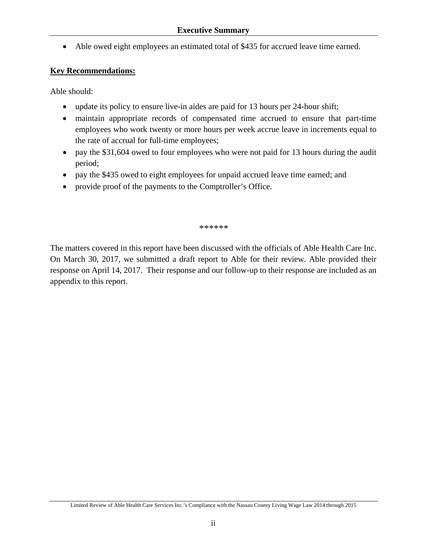Able owed eight employees an estimated total of \$435 for accrued leave time earned.

#### **Key Recommendations:**

Able should:

- update its policy to ensure live-in aides are paid for 13 hours per 24-hour shift;
- maintain appropriate records of compensated time accrued to ensure that part-time employees who work twenty or more hours per week accrue leave in increments equal to the rate of accrual for full-time employees;
- pay the \$31,604 owed to four employees who were not paid for 13 hours during the audit period;
- pay the \$435 owed to eight employees for unpaid accrued leave time earned; and
- provide proof of the payments to the Comptroller's Office.

#### *\*\*\*\*\*\**

The matters covered in this report have been discussed with the officials of Able Health Care Inc. On March 30, 2017, we submitted a draft report to Able for their review. Able provided their response on April 14, 2017. Their response and our follow-up to their response are included as an appendix to this report.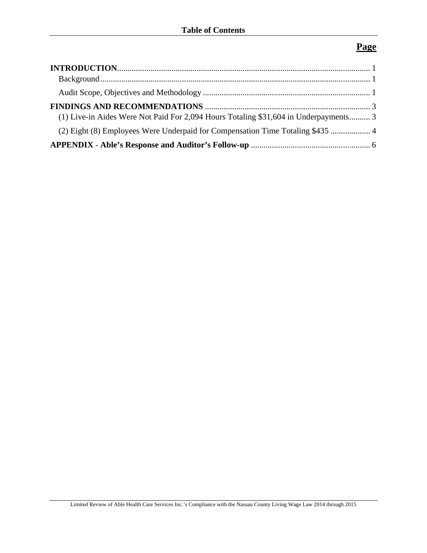## **Page**

| (1) Live-in Aides Were Not Paid For 2,094 Hours Totaling \$31,604 in Underpayments 3 |  |
|--------------------------------------------------------------------------------------|--|
| (2) Eight (8) Employees Were Underpaid for Compensation Time Totaling \$435  4       |  |
|                                                                                      |  |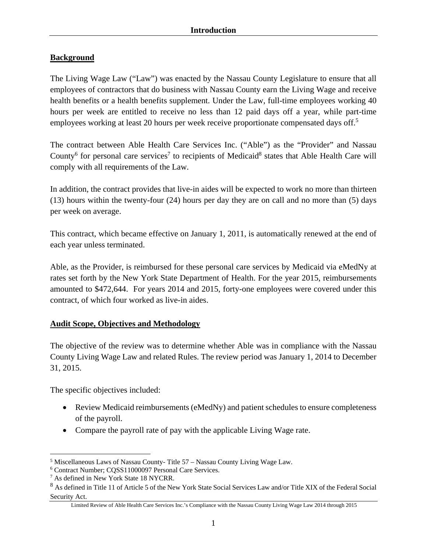### **Background**

The Living Wage Law ("Law") was enacted by the Nassau County Legislature to ensure that all employees of contractors that do business with Nassau County earn the Living Wage and receive health benefits or a health benefits supplement. Under the Law, full-time employees working 40 hours per week are entitled to receive no less than 12 paid days off a year, while part-time employees working at least 20 hours per week receive proportionate compensated days off.<sup>5</sup>

The contract between Able Health Care Services Inc. ("Able") as the "Provider" and Nassau County<sup>6</sup> for personal care services<sup>7</sup> to recipients of Medicaid<sup>8</sup> states that Able Health Care will comply with all requirements of the Law.

In addition, the contract provides that live-in aides will be expected to work no more than thirteen (13) hours within the twenty-four (24) hours per day they are on call and no more than (5) days per week on average.

This contract, which became effective on January 1, 2011, is automatically renewed at the end of each year unless terminated.

Able, as the Provider, is reimbursed for these personal care services by Medicaid via eMedNy at rates set forth by the New York State Department of Health. For the year 2015, reimbursements amounted to \$472,644. For years 2014 and 2015, forty-one employees were covered under this contract, of which four worked as live-in aides.

#### **Audit Scope, Objectives and Methodology**

The objective of the review was to determine whether Able was in compliance with the Nassau County Living Wage Law and related Rules. The review period was January 1, 2014 to December 31, 2015.

The specific objectives included:

- Review Medicaid reimbursements (eMedNy) and patient schedules to ensure completeness of the payroll.
- Compare the payroll rate of pay with the applicable Living Wage rate.

 $\overline{a}$ 

<sup>&</sup>lt;sup>5</sup> Miscellaneous Laws of Nassau County- Title 57 – Nassau County Living Wage Law.<br><sup>6</sup> Contract Number: COSS11000097 Personal Care Services

Contract Number; CQSS11000097 Personal Care Services.

<sup>7</sup> As defined in New York State 18 NYCRR.

<sup>8</sup> As defined in Title 11 of Article 5 of the New York State Social Services Law and/or Title XIX of the Federal Social Security Act.

Limited Review of Able Health Care Services Inc.'s Compliance with the Nassau County Living Wage Law 2014 through 2015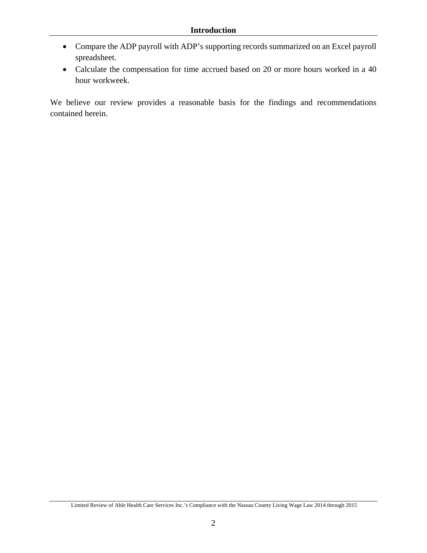- Compare the ADP payroll with ADP's supporting records summarized on an Excel payroll spreadsheet.
- Calculate the compensation for time accrued based on 20 or more hours worked in a 40 hour workweek.

We believe our review provides a reasonable basis for the findings and recommendations contained herein.

Limited Review of Able Health Care Services Inc.'s Compliance with the Nassau County Living Wage Law 2014 through 2015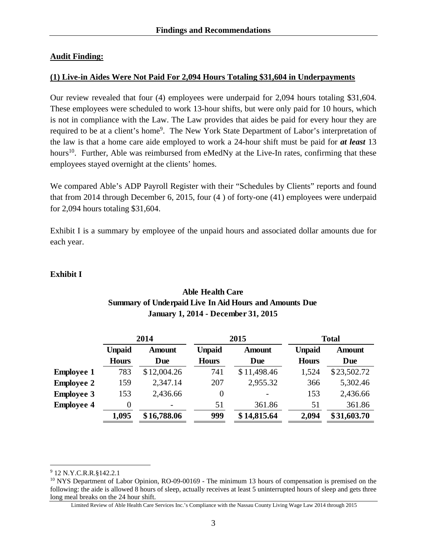#### **Audit Finding:**

#### **(1) Live-in Aides Were Not Paid For 2,094 Hours Totaling \$31,604 in Underpayments**

Our review revealed that four (4) employees were underpaid for 2,094 hours totaling \$31,604. These employees were scheduled to work 13-hour shifts, but were only paid for 10 hours, which is not in compliance with the Law. The Law provides that aides be paid for every hour they are required to be at a client's home<sup>9</sup>. The New York State Department of Labor's interpretation of the law is that a home care aide employed to work a 24-hour shift must be paid for *at least* 13 hours<sup>10</sup>. Further, Able was reimbursed from eMedNy at the Live-In rates, confirming that these employees stayed overnight at the clients' homes.

We compared Able's ADP Payroll Register with their "Schedules by Clients" reports and found that from 2014 through December 6, 2015, four (4 ) of forty-one (41) employees were underpaid for 2,094 hours totaling \$31,604.

Exhibit I is a summary by employee of the unpaid hours and associated dollar amounts due for each year.

#### **Exhibit I**

### **Able Health Care Summary of Underpaid Live In Aid Hours and Amounts Due January 1, 2014 - December 31, 2015**

| 2014          |               | 2015          |               | <b>Total</b>  |               |
|---------------|---------------|---------------|---------------|---------------|---------------|
| <b>Unpaid</b> | <b>Amount</b> | <b>Unpaid</b> | <b>Amount</b> | <b>Unpaid</b> | <b>Amount</b> |
| <b>Hours</b>  | Due           | <b>Hours</b>  | Due           | <b>Hours</b>  | Due           |
| 783           | \$12,004.26   | 741           | \$11,498.46   | 1,524         | \$23,502.72   |
| 159           | 2,347.14      | 207           | 2,955.32      | 366           | 5,302.46      |
| 153           | 2,436.66      | 0             |               | 153           | 2,436.66      |
| 0             | -             | 51            | 361.86        | 51            | 361.86        |
| 1,095         | \$16,788.06   | 999           | \$14,815.64   | 2,094         | \$31,603.70   |
|               |               |               |               |               |               |

 $\overline{a}$ 

<sup>&</sup>lt;sup>9</sup> 12 N.Y.C.R.R.§142.2.1

<sup>&</sup>lt;sup>10</sup> NYS Department of Labor Opinion, RO-09-00169 - The minimum 13 hours of compensation is premised on the following: the aide is allowed 8 hours of sleep, actually receives at least 5 uninterrupted hours of sleep and gets three long meal breaks on the 24 hour shift.

Limited Review of Able Health Care Services Inc.'s Compliance with the Nassau County Living Wage Law 2014 through 2015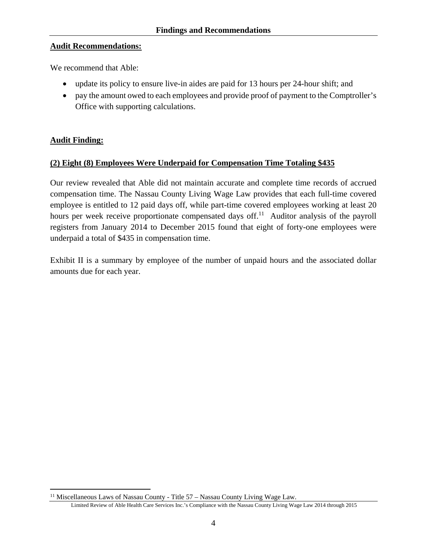#### **Audit Recommendations:**

We recommend that Able:

- update its policy to ensure live-in aides are paid for 13 hours per 24-hour shift; and
- pay the amount owed to each employees and provide proof of payment to the Comptroller's Office with supporting calculations.

#### **Audit Finding:**

 $\overline{a}$ 

#### **(2) Eight (8) Employees Were Underpaid for Compensation Time Totaling \$435**

Our review revealed that Able did not maintain accurate and complete time records of accrued compensation time. The Nassau County Living Wage Law provides that each full-time covered employee is entitled to 12 paid days off, while part-time covered employees working at least 20 hours per week receive proportionate compensated days of f<sup>11</sup>. Auditor analysis of the payroll registers from January 2014 to December 2015 found that eight of forty-one employees were underpaid a total of \$435 in compensation time.

Exhibit II is a summary by employee of the number of unpaid hours and the associated dollar amounts due for each year.

<sup>&</sup>lt;sup>11</sup> Miscellaneous Laws of Nassau County - Title 57 - Nassau County Living Wage Law.

Limited Review of Able Health Care Services Inc.'s Compliance with the Nassau County Living Wage Law 2014 through 2015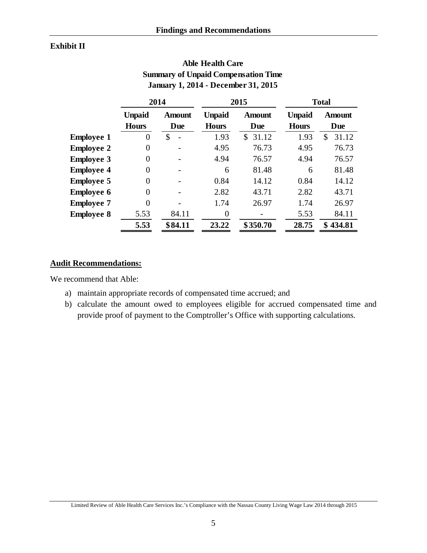#### **Exhibit II**

| <b>January 1, 2014 - December 31, 2015</b> |                               |                      |                               |                      |                               |                      |  |  |  |
|--------------------------------------------|-------------------------------|----------------------|-------------------------------|----------------------|-------------------------------|----------------------|--|--|--|
|                                            | 2014                          |                      | 2015                          |                      | <b>Total</b>                  |                      |  |  |  |
|                                            | <b>Unpaid</b><br><b>Hours</b> | <b>Amount</b><br>Due | <b>Unpaid</b><br><b>Hours</b> | <b>Amount</b><br>Due | <b>Unpaid</b><br><b>Hours</b> | <b>Amount</b><br>Due |  |  |  |
| <b>Employee 1</b>                          | 0                             | \$                   | 1.93                          | \$<br>31.12          | 1.93                          | 31.12<br>\$          |  |  |  |
| <b>Employee 2</b>                          | 0                             |                      | 4.95                          | 76.73                | 4.95                          | 76.73                |  |  |  |
| <b>Employee 3</b>                          | 0                             |                      | 4.94                          | 76.57                | 4.94                          | 76.57                |  |  |  |
| <b>Employee 4</b>                          | 0                             |                      | 6                             | 81.48                | 6                             | 81.48                |  |  |  |
| <b>Employee 5</b>                          | 0                             |                      | 0.84                          | 14.12                | 0.84                          | 14.12                |  |  |  |
| <b>Employee 6</b>                          | 0                             |                      | 2.82                          | 43.71                | 2.82                          | 43.71                |  |  |  |
| <b>Employee 7</b>                          | 0                             |                      | 1.74                          | 26.97                | 1.74                          | 26.97                |  |  |  |
| <b>Employee 8</b>                          | 5.53                          | 84.11                | 0                             |                      | 5.53                          | 84.11                |  |  |  |
|                                            | 5.53                          | \$84.11              | 23.22                         | \$350.70             | 28.75                         | \$434.81             |  |  |  |

**Able Health Care Summary of Unpaid Compensation Time January 1, 2014 - December 31, 2015**

#### **Audit Recommendations:**

We recommend that Able:

- a) maintain appropriate records of compensated time accrued; and
- b) calculate the amount owed to employees eligible for accrued compensated time and provide proof of payment to the Comptroller's Office with supporting calculations.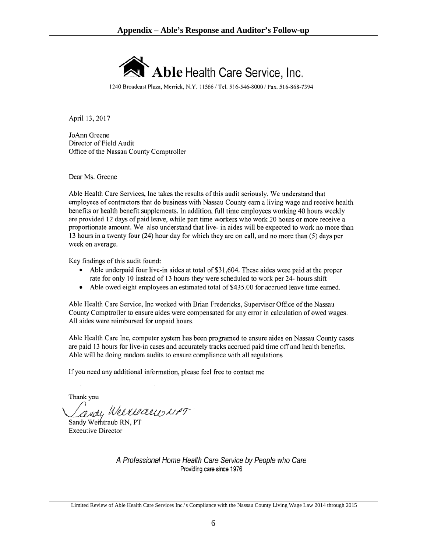

1240 Broadcast Plaza, Merrick, N.Y. 11566 / Tel. 516-546-8000 / Fax. 516-868-7394

April 13, 2017

JoAnn Greene Director of Field Audit Office of the Nassau County Comptroller

Dear Ms. Greene

Able Health Care Services, Inc takes the results of this audit seriously. We understand that employees of contractors that do business with Nassau County earn a living wage and receive health benefits or health benefit supplements. In addition, full time employees working 40 hours weekly are provided 12 days of paid leave, while part time workers who work 20 hours or more receive a proportionate amount. We also understand that live- in aides will be expected to work no more than 13 hours in a twenty four (24) hour day for which they are on call, and no more than (5) days per week on average.

Key findings of this audit found:

- Able underpaid four live-in aides at total of \$31,604. These aides were paid at the proper rate for only 10 instead of 13 hours they were scheduled to work per 24- hours shift
- Able owed eight employees an estimated total of \$435.00 for accrued leave time earned.  $\bullet$

Able Health Care Service, Inc worked with Brian Fredericks, Supervisor Office of the Nassau County Comptroller to ensure aides were compensated for any error in calculation of owed wages. All aides were reimbursed for unpaid hours.

Able Health Care Inc, computer system has been programed to ensure aides on Nassau County cases are paid 13 hours for live-in cases and accurately tracks accrued paid time off and health benefits. Able will be doing random audits to ensure compliance with all regulations

If you need any additional information, please feel free to contact me

Thank you

andy Weeverdew 11PT

Sandy Wemtraub RN, PT **Executive Director** 

A Professional Home Health Care Service by People who Care Providing care since 1976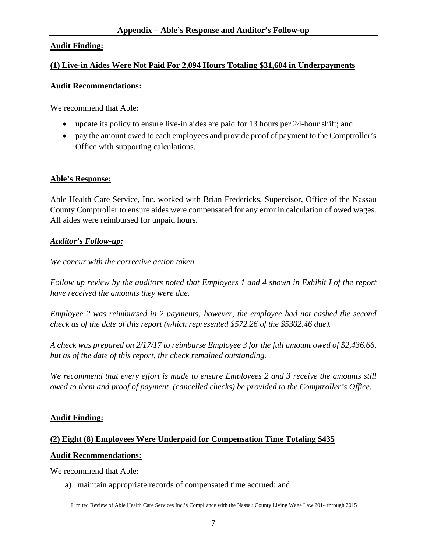### **Audit Finding:**

#### **(1) Live-in Aides Were Not Paid For 2,094 Hours Totaling \$31,604 in Underpayments**

#### **Audit Recommendations:**

We recommend that Able:

- update its policy to ensure live-in aides are paid for 13 hours per 24-hour shift; and
- pay the amount owed to each employees and provide proof of payment to the Comptroller's Office with supporting calculations.

#### **Able's Response:**

Able Health Care Service, Inc. worked with Brian Fredericks, Supervisor, Office of the Nassau County Comptroller to ensure aides were compensated for any error in calculation of owed wages. All aides were reimbursed for unpaid hours.

#### *Auditor's Follow-up:*

*We concur with the corrective action taken.* 

*Follow up review by the auditors noted that Employees 1 and 4 shown in Exhibit I of the report have received the amounts they were due.* 

*Employee 2 was reimbursed in 2 payments; however, the employee had not cashed the second check as of the date of this report (which represented \$572.26 of the \$5302.46 due).* 

*A check was prepared on 2/17/17 to reimburse Employee 3 for the full amount owed of \$2,436.66, but as of the date of this report, the check remained outstanding.* 

*We recommend that every effort is made to ensure Employees 2 and 3 receive the amounts still owed to them and proof of payment (cancelled checks) be provided to the Comptroller's Office.* 

#### **Audit Finding:**

### **(2) Eight (8) Employees Were Underpaid for Compensation Time Totaling \$435**

#### **Audit Recommendations:**

We recommend that Able:

a) maintain appropriate records of compensated time accrued; and